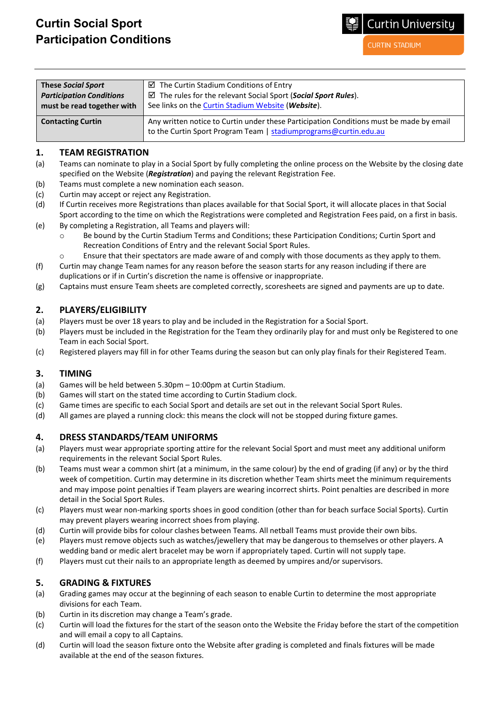# **Curtin Social Sport Participation Conditions**

**CURTIN STADIUM** 

**Curtin University** 

| <b>These Social Sport</b>       | $\boxtimes$ The Curtin Stadium Conditions of Entry                                                                                                          |  |  |
|---------------------------------|-------------------------------------------------------------------------------------------------------------------------------------------------------------|--|--|
| <b>Participation Conditions</b> | $\boxtimes$ The rules for the relevant Social Sport (Social Sport Rules).                                                                                   |  |  |
| must be read together with      | See links on the Curtin Stadium Website (Website).                                                                                                          |  |  |
| <b>Contacting Curtin</b>        | Any written notice to Curtin under these Participation Conditions must be made by email<br>to the Curtin Sport Program Team   stadiumprograms@curtin.edu.au |  |  |

#### **1. TEAM REGISTRATION**

- (a) Teams can nominate to play in a Social Sport by fully completing the online process on the Website by the closing date specified on the Website (*Registration*) and paying the relevant Registration Fee.
- (b) Teams must complete a new nomination each season.
- (c) Curtin may accept or reject any Registration.
- (d) If Curtin receives more Registrations than places available for that Social Sport, it will allocate places in that Social Sport according to the time on which the Registrations were completed and Registration Fees paid, on a first in basis.
- (e) By completing a Registration, all Teams and players will:
	- o Be bound by the Curtin Stadium Terms and Conditions; these Participation Conditions; Curtin Sport and Recreation Conditions of Entry and the relevant Social Sport Rules.
	- $\circ$  Ensure that their spectators are made aware of and comply with those documents as they apply to them.
- (f) Curtin may change Team names for any reason before the season starts for any reason including if there are duplications or if in Curtin's discretion the name is offensive or inappropriate.
- (g) Captains must ensure Team sheets are completed correctly, scoresheets are signed and payments are up to date.

#### **2. PLAYERS/ELIGIBILITY**

- (a) Players must be over 18 years to play and be included in the Registration for a Social Sport.
- (b) Players must be included in the Registration for the Team they ordinarily play for and must only be Registered to one Team in each Social Sport.
- (c) Registered players may fill in for other Teams during the season but can only play finals for their Registered Team.

#### **3. TIMING**

- (a) Games will be held between 5.30pm 10:00pm at Curtin Stadium.
- (b) Games will start on the stated time according to Curtin Stadium clock.
- (c) Game times are specific to each Social Sport and details are set out in the relevant Social Sport Rules.
- (d) All games are played a running clock: this means the clock will not be stopped during fixture games.

## **4. DRESS STANDARDS/TEAM UNIFORMS**

- (a) Players must wear appropriate sporting attire for the relevant Social Sport and must meet any additional uniform requirements in the relevant Social Sport Rules.
- (b) Teams must wear a common shirt (at a minimum, in the same colour) by the end of grading (if any) or by the third week of competition. Curtin may determine in its discretion whether Team shirts meet the minimum requirements and may impose point penalties if Team players are wearing incorrect shirts. Point penalties are described in more detail in the Social Sport Rules.
- (c) Players must wear non-marking sports shoes in good condition (other than for beach surface Social Sports). Curtin may prevent players wearing incorrect shoes from playing.
- (d) Curtin will provide bibs for colour clashes between Teams. All netball Teams must provide their own bibs.
- (e) Players must remove objects such as watches/jewellery that may be dangerous to themselves or other players. A wedding band or medic alert bracelet may be worn if appropriately taped. Curtin will not supply tape.
- (f) Players must cut their nails to an appropriate length as deemed by umpires and/or supervisors.

## **5. GRADING & FIXTURES**

- (a) Grading games may occur at the beginning of each season to enable Curtin to determine the most appropriate divisions for each Team.
- (b) Curtin in its discretion may change a Team's grade.
- (c) Curtin will load the fixtures for the start of the season onto the Website the Friday before the start of the competition and will email a copy to all Captains.
- (d) Curtin will load the season fixture onto the Website after grading is completed and finals fixtures will be made available at the end of the season fixtures.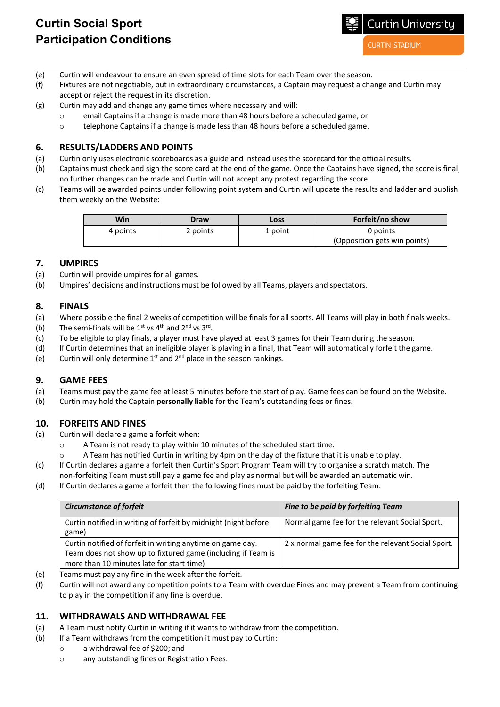**CURTIN STADIUM** 

- (e) Curtin will endeavour to ensure an even spread of time slots for each Team over the season.
- (f) Fixtures are not negotiable, but in extraordinary circumstances, a Captain may request a change and Curtin may accept or reject the request in its discretion.
- (g) Curtin may add and change any game times where necessary and will:
	- o email Captains if a change is made more than 48 hours before a scheduled game; or
	- o telephone Captains if a change is made less than 48 hours before a scheduled game.

#### **6. RESULTS/LADDERS AND POINTS**

- (a) Curtin only uses electronic scoreboards as a guide and instead uses the scorecard for the official results.
- (b) Captains must check and sign the score card at the end of the game. Once the Captains have signed, the score is final, no further changes can be made and Curtin will not accept any protest regarding the score.
- (c) Teams will be awarded points under following point system and Curtin will update the results and ladder and publish them weekly on the Website:

| Win      | Draw     | Loss    | Forfeit/no show              |
|----------|----------|---------|------------------------------|
| 4 points | 2 points | 1 point | 0 points                     |
|          |          |         | (Opposition gets win points) |

#### **7. UMPIRES**

- (a) Curtin will provide umpires for all games.
- (b) Umpires' decisions and instructions must be followed by all Teams, players and spectators.

#### **8. FINALS**

- (a) Where possible the final 2 weeks of competition will be finals for all sports. All Teams will play in both finals weeks.
- (b) The semi-finals will be  $1^{st}$  vs  $4^{th}$  and  $2^{nd}$  vs  $3^{rd}$ .
- (c) To be eligible to play finals, a player must have played at least 3 games for their Team during the season.
- (d) If Curtin determines that an ineligible player is playing in a final, that Team will automatically forfeit the game.
- (e) Curtin will only determine  $1^{st}$  and  $2^{nd}$  place in the season rankings.

#### **9. GAME FEES**

- (a) Teams must pay the game fee at least 5 minutes before the start of play. Game fees can be found on the Website.
- (b) Curtin may hold the Captain **personally liable** for the Team's outstanding fees or fines.

#### **10. FORFEITS AND FINES**

- (a) Curtin will declare a game a forfeit when:
	- o A Team is not ready to play within 10 minutes of the scheduled start time.
	- A Team has notified Curtin in writing by 4pm on the day of the fixture that it is unable to play.
- (c) If Curtin declares a game a forfeit then Curtin's Sport Program Team will try to organise a scratch match. The non-forfeiting Team must still pay a game fee and play as normal but will be awarded an automatic win.
- (d) If Curtin declares a game a forfeit then the following fines must be paid by the forfeiting Team:

| <b>Circumstance of forfeit</b>                                                                                                                                          | Fine to be paid by forfeiting Team                 |
|-------------------------------------------------------------------------------------------------------------------------------------------------------------------------|----------------------------------------------------|
| Curtin notified in writing of forfeit by midnight (night before<br>game)                                                                                                | Normal game fee for the relevant Social Sport.     |
| Curtin notified of forfeit in writing anytime on game day.<br>Team does not show up to fixtured game (including if Team is<br>more than 10 minutes late for start time) | 2 x normal game fee for the relevant Social Sport. |

- (e) Teams must pay any fine in the week after the forfeit.
- (f) Curtin will not award any competition points to a Team with overdue Fines and may prevent a Team from continuing to play in the competition if any fine is overdue.

#### **11. WITHDRAWALS AND WITHDRAWAL FEE**

- (a) A Team must notify Curtin in writing if it wants to withdraw from the competition.
- (b) If a Team withdraws from the competition it must pay to Curtin:
	- o a withdrawal fee of \$200; and
	- o any outstanding fines or Registration Fees.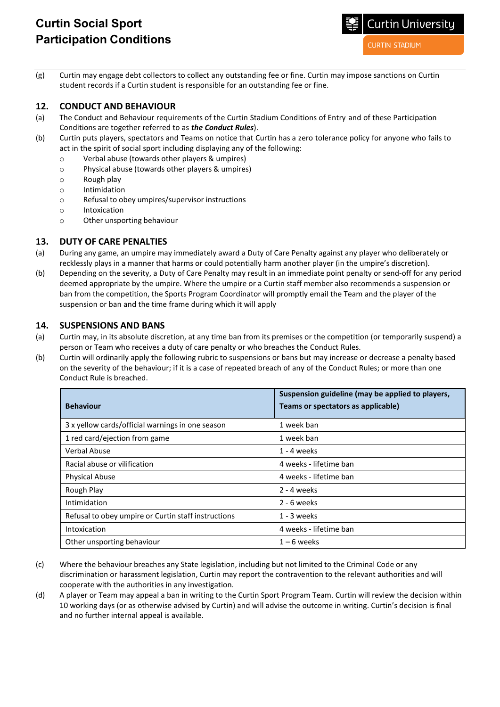# **Curtin Social Sport Participation Conditions**

**Curtin University** 

**CURTIN STADIUM** 

(g) Curtin may engage debt collectors to collect any outstanding fee or fine. Curtin may impose sanctions on Curtin student records if a Curtin student is responsible for an outstanding fee or fine.

#### **12. CONDUCT AND BEHAVIOUR**

- (a) The Conduct and Behaviour requirements of the Curtin Stadium Conditions of Entry and of these Participation Conditions are together referred to as *the Conduct Rules*).
- (b) Curtin puts players, spectators and Teams on notice that Curtin has a zero tolerance policy for anyone who fails to act in the spirit of social sport including displaying any of the following:
	- o Verbal abuse (towards other players & umpires)
	- $\circ$  Physical abuse (towards other players & umpires)<br>  $\circ$  Rough play
	- Rough play
	- o Intimidation
	- o Refusal to obey umpires/supervisor instructions
	- o Intoxication
	- o Other unsporting behaviour

# **13. DUTY OF CARE PENALTIES**

- (a) During any game, an umpire may immediately award a Duty of Care Penalty against any player who deliberately or recklessly plays in a manner that harms or could potentially harm another player (in the umpire's discretion).
- (b) Depending on the severity, a Duty of Care Penalty may result in an immediate point penalty or send-off for any period deemed appropriate by the umpire. Where the umpire or a Curtin staff member also recommends a suspension or ban from the competition, the Sports Program Coordinator will promptly email the Team and the player of the suspension or ban and the time frame during which it will apply

## **14. SUSPENSIONS AND BANS**

- (a) Curtin may, in its absolute discretion, at any time ban from its premises or the competition (or temporarily suspend) a person or Team who receives a duty of care penalty or who breaches the Conduct Rules.
- (b) Curtin will ordinarily apply the following rubric to suspensions or bans but may increase or decrease a penalty based on the severity of the behaviour; if it is a case of repeated breach of any of the Conduct Rules; or more than one Conduct Rule is breached.

| <b>Behaviour</b>                                    | Suspension guideline (may be applied to players,<br>Teams or spectators as applicable) |
|-----------------------------------------------------|----------------------------------------------------------------------------------------|
|                                                     |                                                                                        |
| 3 x yellow cards/official warnings in one season    | 1 week ban                                                                             |
| 1 red card/ejection from game                       | 1 week ban                                                                             |
| Verbal Abuse                                        | 1 - 4 weeks                                                                            |
| Racial abuse or vilification                        | 4 weeks - lifetime ban                                                                 |
| <b>Physical Abuse</b>                               | 4 weeks - lifetime ban                                                                 |
| Rough Play                                          | 2 - 4 weeks                                                                            |
| Intimidation                                        | 2 - 6 weeks                                                                            |
| Refusal to obey umpire or Curtin staff instructions | 1 - 3 weeks                                                                            |
| Intoxication                                        | 4 weeks - lifetime ban                                                                 |
| Other unsporting behaviour                          | $1 - 6$ weeks                                                                          |

- (c) Where the behaviour breaches any State legislation, including but not limited to the Criminal Code or any discrimination or harassment legislation, Curtin may report the contravention to the relevant authorities and will cooperate with the authorities in any investigation.
- (d) A player or Team may appeal a ban in writing to the Curtin Sport Program Team. Curtin will review the decision within 10 working days (or as otherwise advised by Curtin) and will advise the outcome in writing. Curtin's decision is final and no further internal appeal is available.